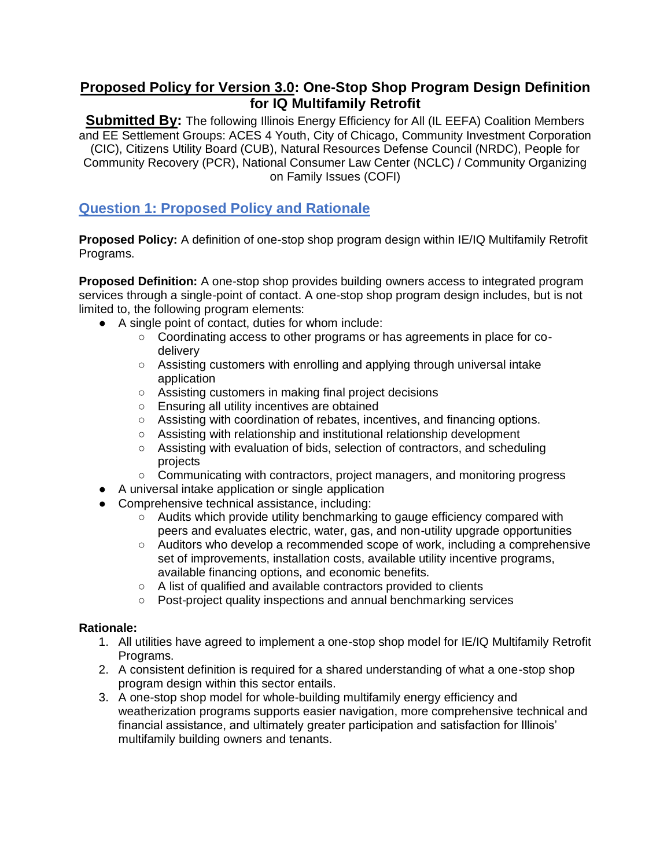# **Proposed Policy for Version 3.0: One-Stop Shop Program Design Definition for IQ Multifamily Retrofit**

**Submitted By:** The following Illinois Energy Efficiency for All (IL EEFA) Coalition Members and EE Settlement Groups: ACES 4 Youth, City of Chicago, Community Investment Corporation (CIC), Citizens Utility Board (CUB), Natural Resources Defense Council (NRDC), People for Community Recovery (PCR), National Consumer Law Center (NCLC) / Community Organizing on Family Issues (COFI)

# **Question 1: Proposed Policy and Rationale**

**Proposed Policy:** A definition of one-stop shop program design within IE/IQ Multifamily Retrofit Programs.

**Proposed Definition:** A one-stop shop provides building owners access to integrated program services through a single-point of contact. A one-stop shop program design includes, but is not limited to, the following program elements:

- A single point of contact, duties for whom include:
	- Coordinating access to other programs or has agreements in place for codelivery
	- Assisting customers with enrolling and applying through universal intake application
	- Assisting customers in making final project decisions
	- Ensuring all utility incentives are obtained
	- Assisting with coordination of rebates, incentives, and financing options.
	- Assisting with relationship and institutional relationship development
	- Assisting with evaluation of bids, selection of contractors, and scheduling projects
	- Communicating with contractors, project managers, and monitoring progress
- A universal intake application or single application
- Comprehensive technical assistance, including:
	- Audits which provide utility benchmarking to gauge efficiency compared with peers and evaluates electric, water, gas, and non-utility upgrade opportunities
	- Auditors who develop a recommended scope of work, including a comprehensive set of improvements, installation costs, available utility incentive programs, available financing options, and economic benefits.
	- A list of qualified and available contractors provided to clients
	- Post-project quality inspections and annual benchmarking services

#### **Rationale:**

- 1. All utilities have agreed to implement a one-stop shop model for IE/IQ Multifamily Retrofit Programs.
- 2. A consistent definition is required for a shared understanding of what a one-stop shop program design within this sector entails.
- 3. A one-stop shop model for whole-building multifamily energy efficiency and weatherization programs supports easier navigation, more comprehensive technical and financial assistance, and ultimately greater participation and satisfaction for Illinois' multifamily building owners and tenants.